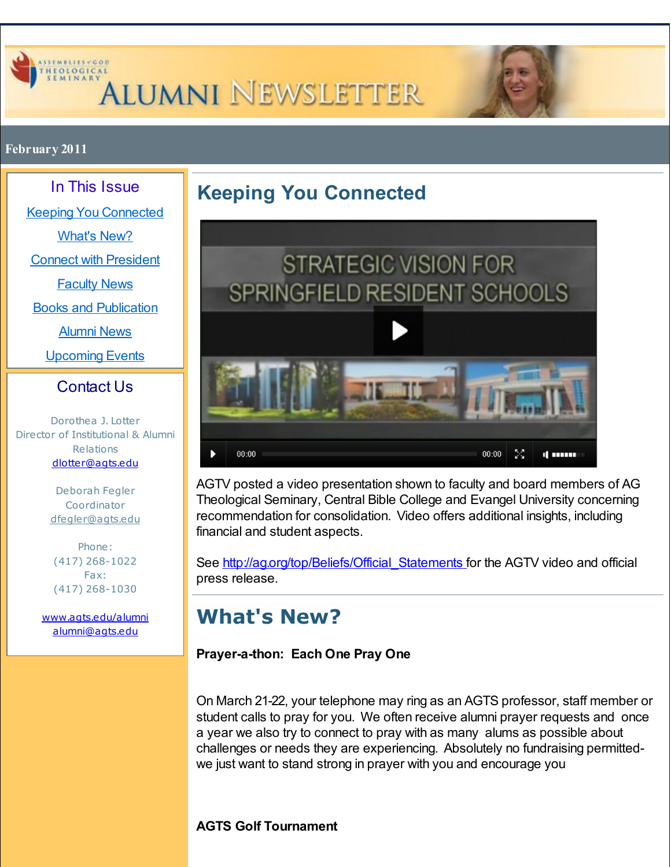<span id="page-0-0"></span>

# **ALUMNI NEWSLETTER**



#### **February 2011**

In This Issue

Keeping You [Connected](#page-0-0)

[What's](#page-0-0) New?

Connect with [President](#page-0-0)

[Faculty](#page-0-0) News

Books and [Publication](#page-0-0)

[Alumni](#page-0-0) News

[Upcoming](#page-0-0) Events

#### Contact Us

Dorothea J. Lotter Director of Institutional & Alumni Relations [dlotter@agts.edu](mailto:dlotter@agts.edu)

> Deborah Fegler Coordinator [dfegler@agts.edu](mailto:dfegler@agts.edu)

Phone: (417) 268-1022 Fax: (417) 268-1030

[www.agts.edu/alumni](http://r20.rs6.net/tn.jsp?f=001QVlCFRYFguq0hh746rHSlkoTM1SCdzv0FX_89uce5HEr0TU3bp3nfFdeqNzS0UB2KfqJ2_-jHp8clktlsmX7eh3KsMH_xpIgfrbFm4oWtH-h2ux1no3ua8-y5oZfnMhfoUS4VW7htVEeYxOOw-KMs3oWiI8YDUllhBGCWbnfCiR1y01PPEqFyw==&c=&ch=) [alumni@agts.edu](mailto:alumni@agts.edu)

### <span id="page-0-1"></span>**Keeping You Connected**



AGTV posted a video presentation shown to faculty and board members of AG Theological Seminary, Central Bible College and Evangel University concerning recommendation for consolidation. Video offers additional insights, including financial and student aspects.

See http://ag.org/top/Beliefs/Official Statements for the AGTV video and official press release.

### **What's New?**

#### **Prayer-a-thon: Each One Pray One**

On March 21-22, your telephone may ring as an AGTS professor, staff member or student calls to pray for you. We often receive alumni prayer requests and once a year we also try to connect to pray with as many alums as possible about challenges or needs they are experiencing. Absolutely no fundraising permittedwe just want to stand strong in prayer with you and encourage you

#### **AGTS Golf Tournament**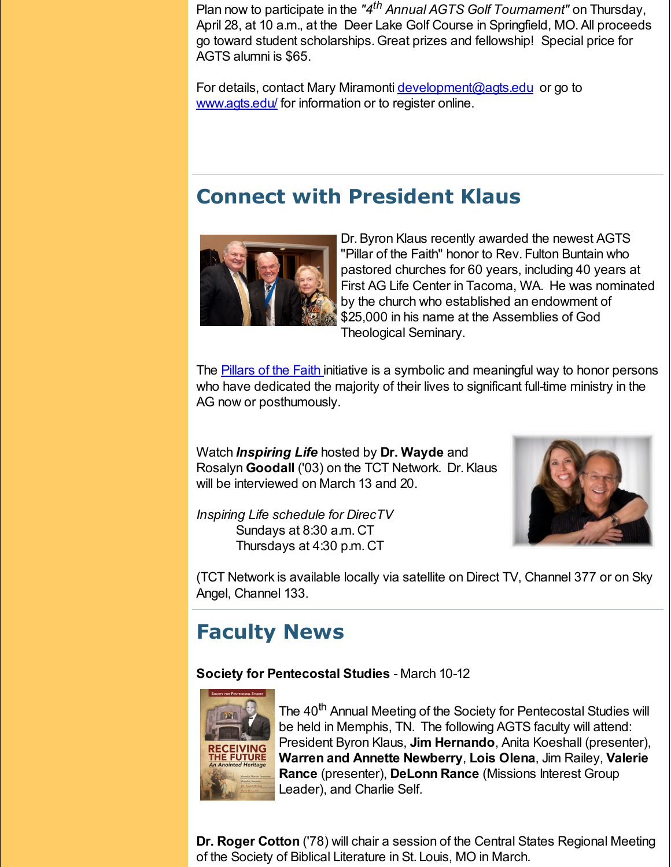Plan now to participate in the *"4 th Annual AGTS Golf Tournament"* on Thursday, April 28, at 10 a.m., at the Deer Lake Golf Course in Springfield, MO.All proceeds go toward student scholarships. Great prizes and fellowship! Special price for AGTS alumni is \$65.

For details, contact Mary Miramonti *[development@agts.edu](mailto:development@agts.edu)* or go to [www.agts.edu/](http://r20.rs6.net/tn.jsp?f=001QVlCFRYFguq0hh746rHSlkoTM1SCdzv0FX_89uce5HEr0TU3bp3nfF6_7GyV4_b0soHDni-OklsGdqBbXbJjagayep97nN0bDbyREInvaO0jnnULS6ntuzkk_nQjov4Q-dhKQprHVRdY7t2Vnz3ULJjQy18eAf7zbo_5CI6XviQ=&c=&ch=) for information or to register online.

#### **Connect with President Klaus**



Dr.Byron Klaus recently awarded the newest AGTS "Pillar of the Faith" honor to Rev. Fulton Buntain who pastored churches for 60 years, including 40 years at First AG Life Center in Tacoma, WA. He was nominated by the church who established an endowment of \$25,000 in his name at the Assemblies of God Theological Seminary.

The **[Pillars](http://r20.rs6.net/tn.jsp?f=001QVlCFRYFguq0hh746rHSlkoTM1SCdzv0FX_89uce5HEr0TU3bp3nfFLnugYRjPXwQ3QxmogBtOkqzEhUy1qJI3CcPl6cjq30BcBkX5n_zC1Ngvplwrzw2b9RNq9kfGMYvCJoUPn69FECA0fXD-D04VypLgDDEVl_KYABmQA6ofKeuwxqPGFUEwGuy6b_rb5fKEHEhgtVDgvLI8M-zE0JlQ==&c=&ch=) of the Faith initiative is a symbolic and meaningful way to honor persons** who have dedicated the majority of their lives to significant full-time ministry in the AG now or posthumously.

Watch *Inspiring Life* hosted by **Dr. Wayde** and Rosalyn **Goodall** ('03) on the TCT Network. Dr.Klaus will be interviewed on March 13 and 20.



*Inspiring Life schedule for DirecTV* Sundays at 8:30 a.m. CT Thursdays at 4:30 p.m. CT

(TCT Network is available locally via satellite on Direct TV, Channel 377 or on Sky Angel, Channel 133.

### **Faculty News**

**Society for Pentecostal Studies** - March 10-12



The 40<sup>th</sup> Annual Meeting of the Society for Pentecostal Studies will be held in Memphis, TN. The following AGTS faculty will attend: President Byron Klaus, **Jim Hernando**, Anita Koeshall (presenter), **Warren and Annette Newberry**, **Lois Olena**, Jim Railey, **Valerie Rance** (presenter), **DeLonn Rance** (Missions Interest Group Leader), and Charlie Self.

**Dr. Roger Cotton** ('78) will chair a session of the Central States Regional Meeting of the Society of Biblical Literature in St. Louis, MO in March.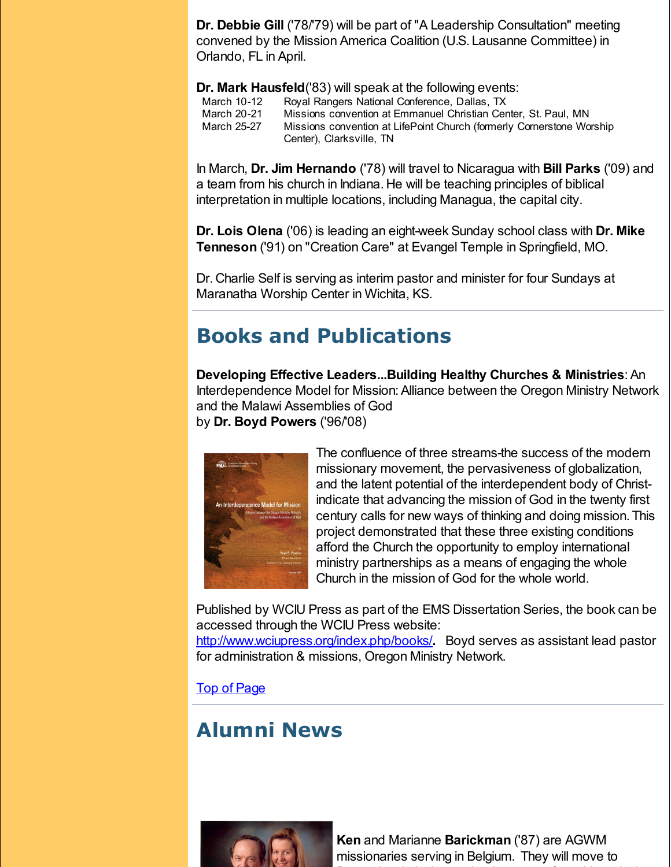**Dr. Debbie Gill** ('78/'79) will be part of "A Leadership Consultation" meeting convened by the Mission America Coalition (U.S. Lausanne Committee) in Orlando, FL in April.

**Dr. Mark Hausfeld**('83) will speak at the following events:

| March 10-12 | Royal Rangers National Conference, Dallas, TX                                                     |
|-------------|---------------------------------------------------------------------------------------------------|
| March 20-21 | Missions convention at Emmanuel Christian Center, St. Paul, MN                                    |
| March 25-27 | Missions convention at LifePoint Church (formerly Cornerstone Worship<br>Center), Clarksville, TN |

In March, **Dr. Jim Hernando** ('78) will travel to Nicaragua with **Bill Parks** ('09) and a team from his church in Indiana. He will be teaching principles of biblical interpretation in multiple locations, including Managua, the capital city.

**Dr. Lois Olena** ('06) is leading an eight-week Sunday school class with **Dr. Mike Tenneson** ('91) on "Creation Care" at Evangel Temple in Springfield, MO.

Dr. Charlie Self is serving as interim pastor and minister for four Sundays at Maranatha Worship Center in Wichita, KS.

### **Books and Publications**

**Developing Effective Leaders...Building Healthy Churches & Ministries**:An Interdependence Model for Mission: Alliance between the Oregon Ministry Network and the Malawi Assemblies of God by **Dr. Boyd Powers** ('96/'08)



The confluence of three streams-the success of the modern missionary movement, the pervasiveness of globalization, and the latent potential of the interdependent body of Christindicate that advancing the mission of God in the twenty first century calls for new ways of thinking and doing mission. This project demonstrated that these three existing conditions afford the Church the opportunity to employ international ministry partnerships as a means of engaging the whole Church in the mission of God for the whole world.

Published by WCIU Press as part of the EMS Dissertation Series, the book can be accessed through the WCIU Press website:

[http://www.wciupress.org/index.php/books/](http://r20.rs6.net/tn.jsp?f=001QVlCFRYFguq0hh746rHSlkoTM1SCdzv0FX_89uce5HEr0TU3bp3nfNVEudcKuc7Wnl_pTCcaJgOIwGhgVJKHzFkURND8niJt3hokdltr9iJOc6s9-555xkP42xQUj4sNHQtf0JoZgwrs_Vaugl8sTzBRA9PFU_N2NjTa3aA7ZFNEZ10z0YhIlKBpF06Q5-CmvWzSO6XVfps=&c=&ch=)**.** Boyd serves as assistant lead pastor for administration & missions, Oregon Ministry Network.

Top of [Page](#page-0-1)

### **Alumni News**



**Ken** and Marianne **Barickman** ('87) are AGWM missionaries serving in Belgium. They will move to Pennsylvania in June to begin a year of teaching missions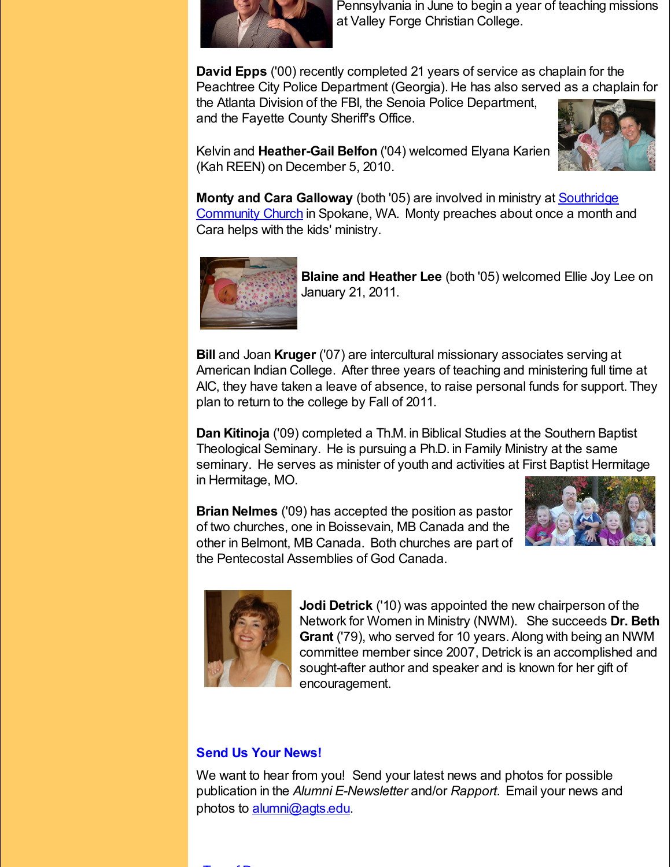

Pennsylvania in June to begin a year of teaching missions at Valley Forge Christian College.

**David Epps** ('00) recently completed 21 years of service as chaplain for the Peachtree City Police Department (Georgia). He has also served as a chaplain for the Atlanta Division of the FBI, the Senoia Police Department,

and the Fayette County Sheriff's Office.



Kelvin and **Heather-Gail Belfon** ('04) welcomed Elyana Karien (Kah REEN) on December 5, 2010.

**Monty and Cara Galloway** (both '05) are involved in ministry at Southridge [Community](http://r20.rs6.net/tn.jsp?f=001QVlCFRYFguq0hh746rHSlkoTM1SCdzv0FX_89uce5HEr0TU3bp3nfNVEudcKuc7W3TcQvbjXz0D8_UAoj3hxKZnp1O3v0YCdGWq_ziAdvulAf2RdB5h4HvSuAX0vzKaTxoVxDXoZXCjJQB3nYVnUu_3putlVOVw5kCmwPVYaY7eTc-G6rLo2OOt8D_PMcJZZfaE5nI_a6XutyyQWqSB0mnRZ9A923OM_bSECW0MfTMNbCwwbKi6GXpAkL3QXdt3CUuntwpZqis8P6cpwL4QWejqczrOSxer4LxrLoVqFACw=&c=&ch=) Church in Spokane, WA. Monty preaches about once a month and Cara helps with the kids' ministry.



**Blaine and Heather Lee** (both '05) welcomed Ellie Joy Lee on January 21, 2011.

**Bill** and Joan **Kruger** ('07) are intercultural missionary associates serving at American Indian College. After three years of teaching and ministering full time at AIC, they have taken a leave of absence, to raise personal funds for support. They plan to return to the college by Fall of 2011.

**Dan Kitinoja** ('09) completed a Th.M. in Biblical Studies at the Southern Baptist Theological Seminary. He is pursuing a Ph.D. in Family Ministry at the same seminary. He serves as minister of youth and activities at First Baptist Hermitage in Hermitage, MO.

**Brian Nelmes** ('09) has accepted the position as pastor of two churches, one in Boissevain, MB Canada and the other in Belmont, MB Canada. Both churches are part of the Pentecostal Assemblies of God Canada.





**Jodi Detrick** ('10) was appointed the new chairperson of the Network for Women in Ministry (NWM). She succeeds **Dr. Beth Grant** ('79), who served for 10 years. Along with being an NWM committee member since 2007, Detrick is an accomplished and sought-after author and speaker and is known for her gift of encouragement.

#### **Send Us Your News!**

We want to hear from you! Send your latest news and photos for possible publication in the *Alumni E-Newsletter* and/or *Rapport*. Email your news and photos to [alumni@agts.edu](mailto:alumni@agts.edu).